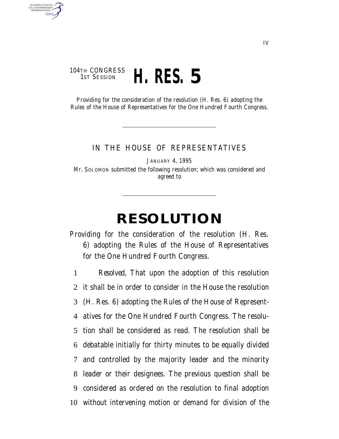## 104TH CONGRESS<br>1st Session 1ST SESSION **H. RES. 5**

AUTHENTICATED U.S. GOVERNMENT **GPO** 

> Providing for the consideration of the resolution (H. Res. 6) adopting the Rules of the House of Representatives for the One Hundred Fourth Congress.

## IN THE HOUSE OF REPRESENTATIVES

JANUARY 4, 1995

Mr. SOLOMON submitted the following resolution; which was considered and agreed to

## **RESOLUTION**

Providing for the consideration of the resolution (H. Res. 6) adopting the Rules of the House of Representatives for the One Hundred Fourth Congress.

 *Resolved,* That upon the adoption of this resolution it shall be in order to consider in the House the resolution (H. Res. 6) adopting the Rules of the House of Represent- atives for the One Hundred Fourth Congress. The resolu- tion shall be considered as read. The resolution shall be debatable initially for thirty minutes to be equally divided and controlled by the majority leader and the minority leader or their designees. The previous question shall be considered as ordered on the resolution to final adoption without intervening motion or demand for division of the